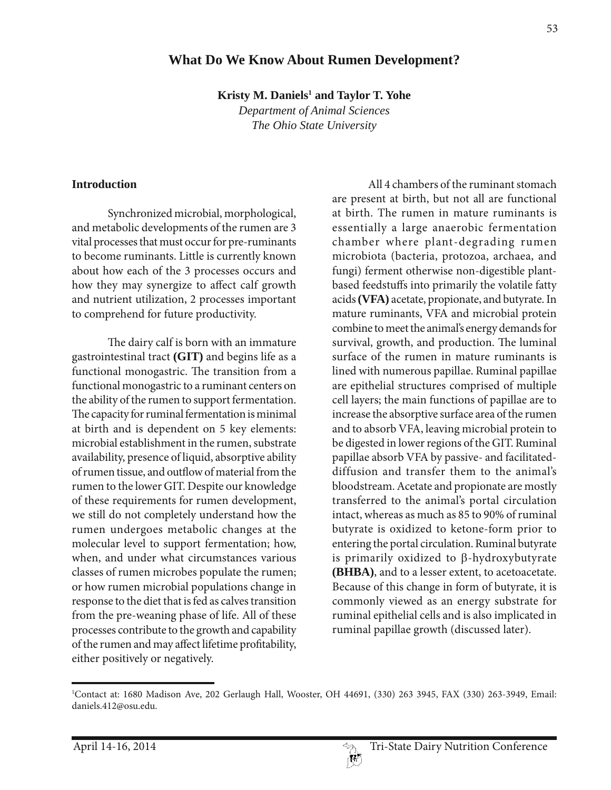# **What Do We Know About Rumen Development?**

**Kristy M. Daniels<sup>1</sup> and Taylor T. Yohe** 

*Department of Animal Sciences The Ohio State University*

#### **Introduction**

Synchronized microbial, morphological, and metabolic developments of the rumen are 3 vital processes that must occur for pre-ruminants to become ruminants. Little is currently known about how each of the 3 processes occurs and how they may synergize to affect calf growth and nutrient utilization, 2 processes important to comprehend for future productivity.

The dairy calf is born with an immature gastrointestinal tract **(GIT)** and begins life as a functional monogastric. The transition from a functional monogastric to a ruminant centers on the ability of the rumen to support fermentation. The capacity for ruminal fermentation is minimal at birth and is dependent on 5 key elements: microbial establishment in the rumen, substrate availability, presence of liquid, absorptive ability of rumen tissue, and outflow of material from the rumen to the lower GIT. Despite our knowledge of these requirements for rumen development, we still do not completely understand how the rumen undergoes metabolic changes at the molecular level to support fermentation; how, when, and under what circumstances various classes of rumen microbes populate the rumen; or how rumen microbial populations change in response to the diet that is fed as calves transition from the pre-weaning phase of life. All of these processes contribute to the growth and capability of the rumen and may affect lifetime profitability, either positively or negatively.

All 4 chambers of the ruminant stomach are present at birth, but not all are functional at birth. The rumen in mature ruminants is essentially a large anaerobic fermentation chamber where plant-degrading rumen microbiota (bacteria, protozoa, archaea, and fungi) ferment otherwise non-digestible plantbased feedstuffs into primarily the volatile fatty acids **(VFA)** acetate, propionate, and butyrate. In mature ruminants, VFA and microbial protein combine to meet the animal's energy demands for survival, growth, and production. The luminal surface of the rumen in mature ruminants is lined with numerous papillae. Ruminal papillae are epithelial structures comprised of multiple cell layers; the main functions of papillae are to increase the absorptive surface area of the rumen and to absorb VFA, leaving microbial protein to be digested in lower regions of the GIT. Ruminal papillae absorb VFA by passive- and facilitateddiffusion and transfer them to the animal's bloodstream. Acetate and propionate are mostly transferred to the animal's portal circulation intact, whereas as much as 85 to 90% of ruminal butyrate is oxidized to ketone-form prior to entering the portal circulation. Ruminal butyrate is primarily oxidized to  $\beta$ -hydroxybutyrate **(BHBA)**, and to a lesser extent, to acetoacetate. Because of this change in form of butyrate, it is commonly viewed as an energy substrate for ruminal epithelial cells and is also implicated in ruminal papillae growth (discussed later).

<sup>1</sup> Contact at: 1680 Madison Ave, 202 Gerlaugh Hall, Wooster, OH 44691, (330) 263 3945, FAX (330) 263-3949, Email: daniels.412@osu.edu.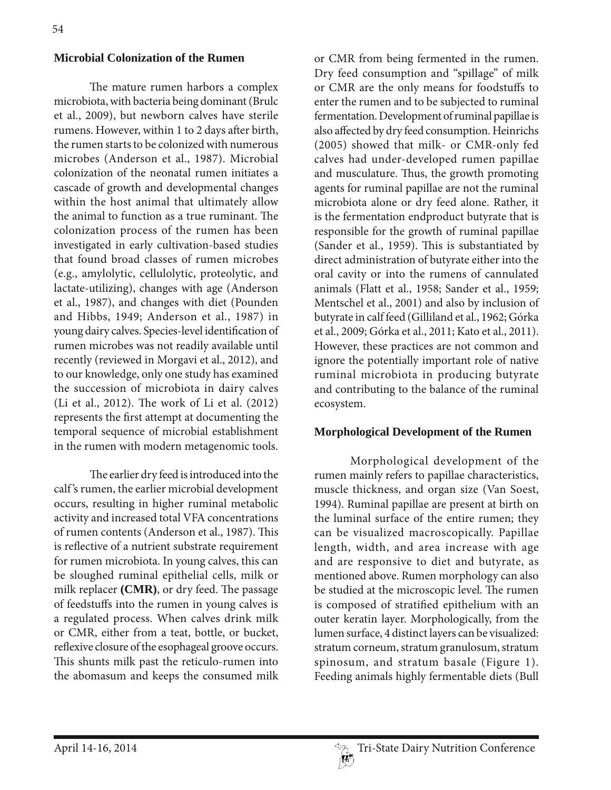### **Microbial Colonization of the Rumen**

The mature rumen harbors a complex microbiota, with bacteria being dominant (Brulc et al., 2009), but newborn calves have sterile rumens. However, within 1 to 2 days after birth, the rumen starts to be colonized with numerous microbes (Anderson et al., 1987). Microbial colonization of the neonatal rumen initiates a cascade of growth and developmental changes within the host animal that ultimately allow the animal to function as a true ruminant. The colonization process of the rumen has been investigated in early cultivation-based studies that found broad classes of rumen microbes (e.g., amylolytic, cellulolytic, proteolytic, and lactate-utilizing), changes with age (Anderson et al., 1987), and changes with diet (Pounden and Hibbs, 1949; Anderson et al., 1987) in young dairy calves. Species-level identification of rumen microbes was not readily available until recently (reviewed in Morgavi et al., 2012), and to our knowledge, only one study has examined the succession of microbiota in dairy calves (Li et al., 2012). The work of Li et al. (2012) represents the first attempt at documenting the temporal sequence of microbial establishment in the rumen with modern metagenomic tools.

The earlier dry feed is introduced into the calf 's rumen, the earlier microbial development occurs, resulting in higher ruminal metabolic activity and increased total VFA concentrations of rumen contents (Anderson et al., 1987). This is reflective of a nutrient substrate requirement for rumen microbiota. In young calves, this can be sloughed ruminal epithelial cells, milk or milk replacer **(CMR)**, or dry feed. The passage of feedstuffs into the rumen in young calves is a regulated process. When calves drink milk or CMR, either from a teat, bottle, or bucket, reflexive closure of the esophageal groove occurs. This shunts milk past the reticulo-rumen into the abomasum and keeps the consumed milk

or CMR from being fermented in the rumen. Dry feed consumption and "spillage" of milk or CMR are the only means for foodstuffs to enter the rumen and to be subjected to ruminal fermentation. Development of ruminal papillae is also affected by dry feed consumption. Heinrichs (2005) showed that milk- or CMR-only fed calves had under-developed rumen papillae and musculature. Thus, the growth promoting agents for ruminal papillae are not the ruminal microbiota alone or dry feed alone. Rather, it is the fermentation endproduct butyrate that is responsible for the growth of ruminal papillae (Sander et al., 1959). This is substantiated by direct administration of butyrate either into the oral cavity or into the rumens of cannulated animals (Flatt et al., 1958; Sander et al., 1959; Mentschel et al., 2001) and also by inclusion of butyrate in calf feed (Gilliland et al., 1962; Górka et al., 2009; Górka et al., 2011; Kato et al., 2011). However, these practices are not common and ignore the potentially important role of native ruminal microbiota in producing butyrate and contributing to the balance of the ruminal ecosystem.

#### **Morphological Development of the Rumen**

Morphological development of the rumen mainly refers to papillae characteristics, muscle thickness, and organ size (Van Soest, 1994). Ruminal papillae are present at birth on the luminal surface of the entire rumen; they can be visualized macroscopically. Papillae length, width, and area increase with age and are responsive to diet and butyrate, as mentioned above. Rumen morphology can also be studied at the microscopic level. The rumen is composed of stratified epithelium with an outer keratin layer. Morphologically, from the lumen surface, 4 distinct layers can be visualized: stratum corneum, stratum granulosum, stratum spinosum, and stratum basale (Figure 1). Feeding animals highly fermentable diets (Bull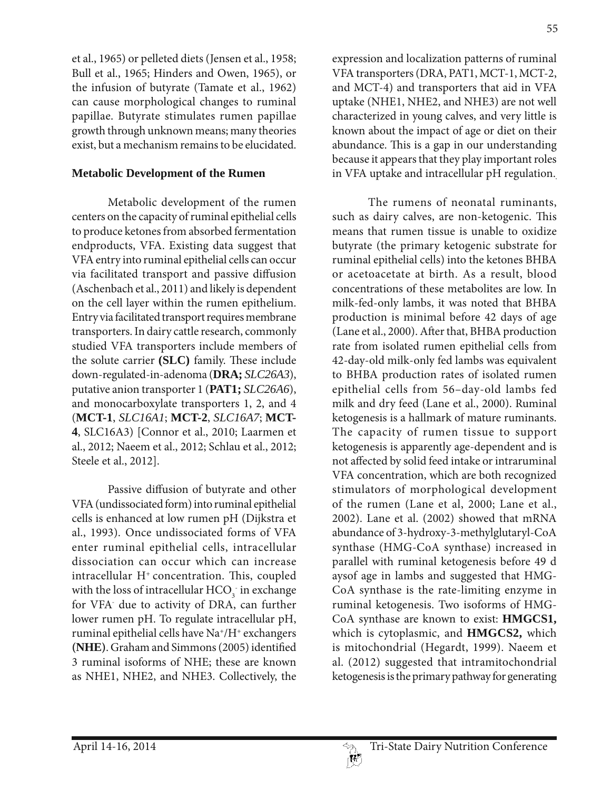et al., 1965) or pelleted diets (Jensen et al., 1958; Bull et al., 1965; Hinders and Owen, 1965), or the infusion of butyrate (Tamate et al., 1962) can cause morphological changes to ruminal papillae. Butyrate stimulates rumen papillae growth through unknown means; many theories exist, but a mechanism remains to be elucidated.

### **Metabolic Development of the Rumen**

Metabolic development of the rumen centers on the capacity of ruminal epithelial cells to produce ketones from absorbed fermentation endproducts, VFA. Existing data suggest that VFA entry into ruminal epithelial cells can occur via facilitated transport and passive diffusion (Aschenbach et al., 2011) and likely is dependent on the cell layer within the rumen epithelium. Entry via facilitated transport requires membrane transporters. In dairy cattle research, commonly studied VFA transporters include members of the solute carrier **(SLC)** family. These include down-regulated-in-adenoma (**DRA;** *SLC26A3*), putative anion transporter 1 (**PAT1;** *SLC26A6*), and monocarboxylate transporters 1, 2, and 4 (**MCT-1**, *SLC16A1*; **MCT-2**, *SLC16A7*; **MCT-**4, SLC16A3) [Connor et al., 2010; Laarmen et al., 2012; Naeem et al., 2012; Schlau et al., 2012; Steele et al., 2012].

Passive diffusion of butyrate and other VFA (undissociated form) into ruminal epithelial cells is enhanced at low rumen pH (Dijkstra et al., 1993). Once undissociated forms of VFA enter ruminal epithelial cells, intracellular dissociation can occur which can increase  $intrac{ellular H<sup>+</sup> concentration. This, coupled$ with the loss of intracellular  $\mathrm{HCO}_3^-$  in exchange for VFA- due to activity of DRA, can further lower rumen pH. To regulate intracellular pH, ruminal epithelial cells have Na+/H+ exchangers **(NHE)**. Graham and Simmons (2005) identified 3 ruminal isoforms of NHE; these are known as NHE1, NHE2, and NHE3. Collectively, the

expression and localization patterns of ruminal VFA transporters (DRA, PAT1, MCT-1, MCT-2, and MCT-4) and transporters that aid in VFA uptake (NHE1, NHE2, and NHE3) are not well characterized in young calves, and very little is known about the impact of age or diet on their abundance. This is a gap in our understanding because it appears that they play important roles in VFA uptake and intracellular pH regulation.

The rumens of neonatal ruminants, such as dairy calves, are non-ketogenic. This means that rumen tissue is unable to oxidize butyrate (the primary ketogenic substrate for ruminal epithelial cells) into the ketones BHBA or acetoacetate at birth. As a result, blood concentrations of these metabolites are low. In milk-fed-only lambs, it was noted that BHBA production is minimal before 42 days of age (Lane et al., 2000). After that, BHBA production rate from isolated rumen epithelial cells from 42-day-old milk-only fed lambs was equivalent to BHBA production rates of isolated rumen epithelial cells from 56–day-old lambs fed milk and dry feed (Lane et al., 2000). Ruminal ketogenesis is a hallmark of mature ruminants. The capacity of rumen tissue to support ketogenesis is apparently age-dependent and is not affected by solid feed intake or intraruminal VFA concentration, which are both recognized stimulators of morphological development of the rumen (Lane et al, 2000; Lane et al., 2002). Lane et al. (2002) showed that mRNA abundance of 3-hydroxy-3-methylglutaryl-CoA synthase (HMG-CoA synthase) increased in parallel with ruminal ketogenesis before 49 d aysof age in lambs and suggested that HMG-CoA synthase is the rate-limiting enzyme in ruminal ketogenesis. Two isoforms of HMG-CoA synthase are known to exist: **HMGCS1,**  which is cytoplasmic, and **HMGCS2,** which is mitochondrial (Hegardt, 1999). Naeem et al. (2012) suggested that intramitochondrial ketogenesis is the primary pathway for generating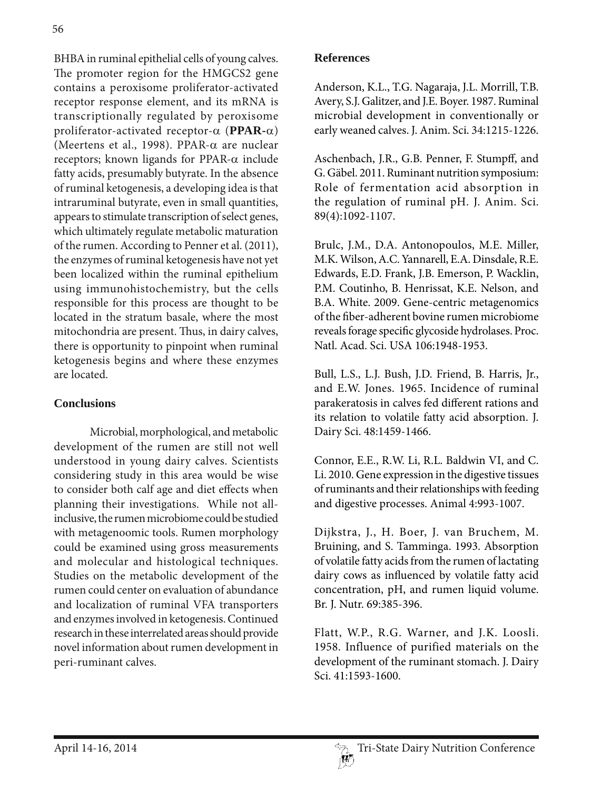BHBA in ruminal epithelial cells of young calves. The promoter region for the HMGCS2 gene contains a peroxisome proliferator-activated receptor response element, and its mRNA is transcriptionally regulated by peroxisome proliferator-activated receptor- $\alpha$  (PPAR- $\alpha$ ) (Meertens et al., 1998). PPAR- $\alpha$  are nuclear receptors; known ligands for PPAR- $\alpha$  include fatty acids, presumably butyrate. In the absence of ruminal ketogenesis, a developing idea is that intraruminal butyrate, even in small quantities, appears to stimulate transcription of select genes, which ultimately regulate metabolic maturation of the rumen. According to Penner et al. (2011), the enzymes of ruminal ketogenesis have not yet been localized within the ruminal epithelium using immunohistochemistry, but the cells responsible for this process are thought to be located in the stratum basale, where the most mitochondria are present. Thus, in dairy calves, there is opportunity to pinpoint when ruminal ketogenesis begins and where these enzymes are located.

# **Conclusions**

Microbial, morphological, and metabolic development of the rumen are still not well understood in young dairy calves. Scientists considering study in this area would be wise to consider both calf age and diet effects when planning their investigations. While not allinclusive, the rumen microbiome could be studied with metagenoomic tools. Rumen morphology could be examined using gross measurements and molecular and histological techniques. Studies on the metabolic development of the rumen could center on evaluation of abundance and localization of ruminal VFA transporters and enzymes involved in ketogenesis. Continued research in these interrelated areas should provide novel information about rumen development in peri-ruminant calves.

## **References**

Anderson, K.L., T.G. Nagaraja, J.L. Morrill, T.B. Avery, S.J. Galitzer, and J.E. Boyer. 1987. Ruminal microbial development in conventionally or early weaned calves. J. Anim. Sci. 34:1215-1226.

Aschenbach, J.R., G.B. Penner, F. Stumpff, and G. Gäbel. 2011. Ruminant nutrition symposium: Role of fermentation acid absorption in the regulation of ruminal pH. J. Anim. Sci. 89(4):1092-1107.

Brulc, J.M., D.A. Antonopoulos, M.E. Miller, M.K. Wilson, A.C. Yannarell, E.A. Dinsdale, R.E. Edwards, E.D. Frank, J.B. Emerson, P. Wacklin, P.M. Coutinho, B. Henrissat, K.E. Nelson, and B.A. White. 2009. Gene-centric metagenomics of the fiber-adherent bovine rumen microbiome reveals forage specific glycoside hydrolases. Proc. Natl. Acad. Sci. USA 106:1948-1953.

Bull, L.S., L.J. Bush, J.D. Friend, B. Harris, Jr., and E.W. Jones. 1965. Incidence of ruminal parakeratosis in calves fed different rations and its relation to volatile fatty acid absorption. J. Dairy Sci. 48:1459-1466.

Connor, E.E., R.W. Li, R.L. Baldwin VI, and C. Li. 2010. Gene expression in the digestive tissues of ruminants and their relationships with feeding and digestive processes. Animal 4:993-1007.

Dijkstra, J., H. Boer, J. van Bruchem, M. Bruining, and S. Tamminga. 1993. Absorption of volatile fatty acids from the rumen of lactating dairy cows as influenced by volatile fatty acid concentration, pH, and rumen liquid volume. Br. J. Nutr. 69:385-396.

Flatt, W.P., R.G. Warner, and J.K. Loosli. 1958. Influence of purified materials on the development of the ruminant stomach. J. Dairy Sci. 41:1593-1600.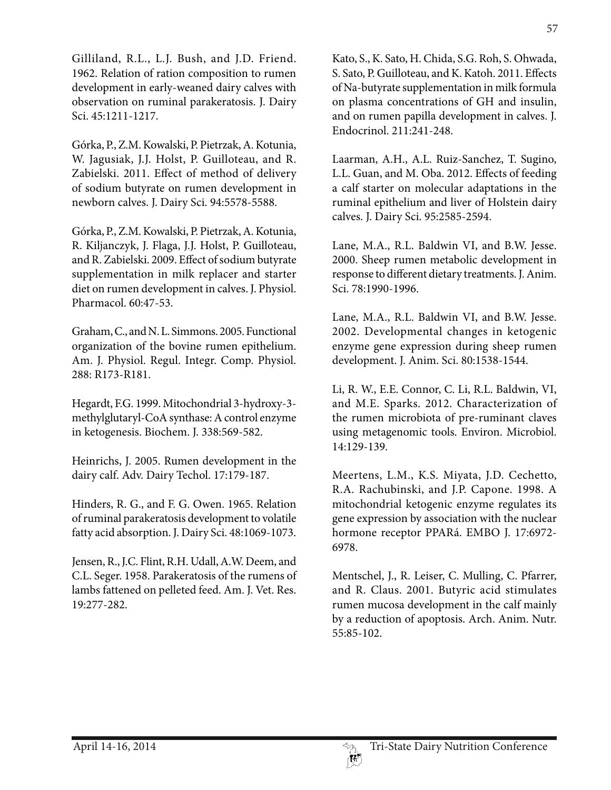Gilliland, R.L., L.J. Bush, and J.D. Friend. 1962. Relation of ration composition to rumen development in early-weaned dairy calves with observation on ruminal parakeratosis. J. Dairy Sci. 45:1211-1217.

Górka, P., Z.M. Kowalski, P. Pietrzak, A. Kotunia, W. Jagusiak, J.J. Holst, P. Guilloteau, and R. Zabielski. 2011. Effect of method of delivery of sodium butyrate on rumen development in newborn calves. J. Dairy Sci. 94:5578-5588.

Górka, P., Z.M. Kowalski, P. Pietrzak, A. Kotunia, R. Kiljanczyk, J. Flaga, J.J. Holst, P. Guilloteau, and R. Zabielski. 2009. Effect of sodium butyrate supplementation in milk replacer and starter diet on rumen development in calves. J. Physiol. Pharmacol. 60:47-53.

Graham, C., and N. L. Simmons. 2005. Functional organization of the bovine rumen epithelium. Am. J. Physiol. Regul. Integr. Comp. Physiol. 288: R173-R181.

Hegardt, F.G. 1999. Mitochondrial 3-hydroxy-3 methylglutaryl-CoA synthase: A control enzyme in ketogenesis. Biochem. J. 338:569-582.

Heinrichs, J. 2005. Rumen development in the dairy calf. Adv. Dairy Techol. 17:179-187.

Hinders, R. G., and F. G. Owen. 1965. Relation of ruminal parakeratosis development to volatile fatty acid absorption. J. Dairy Sci. 48:1069-1073.

Jensen, R., J.C. Flint, R.H. Udall, A.W. Deem, and C.L. Seger. 1958. Parakeratosis of the rumens of lambs fattened on pelleted feed. Am. J. Vet. Res. 19:277-282.

Kato, S., K. Sato, H. Chida, S.G. Roh, S. Ohwada, S. Sato, P. Guilloteau, and K. Katoh. 2011. Effects of Na-butyrate supplementation in milk formula on plasma concentrations of GH and insulin, and on rumen papilla development in calves. J. Endocrinol. 211:241-248.

Laarman, A.H., A.L. Ruiz-Sanchez, T. Sugino, L.L. Guan, and M. Oba. 2012. Effects of feeding a calf starter on molecular adaptations in the ruminal epithelium and liver of Holstein dairy calves. J. Dairy Sci. 95:2585-2594.

Lane, M.A., R.L. Baldwin VI, and B.W. Jesse. 2000. Sheep rumen metabolic development in response to different dietary treatments. J. Anim. Sci. 78:1990-1996.

Lane, M.A., R.L. Baldwin VI, and B.W. Jesse. 2002. Developmental changes in ketogenic enzyme gene expression during sheep rumen development. J. Anim. Sci. 80:1538-1544.

Li, R. W., E.E. Connor, C. Li, R.L. Baldwin, VI, and M.E. Sparks. 2012. Characterization of the rumen microbiota of pre-ruminant claves using metagenomic tools. Environ. Microbiol. 14:129-139.

Meertens, L.M., K.S. Miyata, J.D. Cechetto, R.A. Rachubinski, and J.P. Capone. 1998. A mitochondrial ketogenic enzyme regulates its gene expression by association with the nuclear hormone receptor PPARá. EMBO J. 17:6972- 6978.

Mentschel, J., R. Leiser, C. Mulling, C. Pfarrer, and R. Claus. 2001. Butyric acid stimulates rumen mucosa development in the calf mainly by a reduction of apoptosis. Arch. Anim. Nutr. 55:85-102.

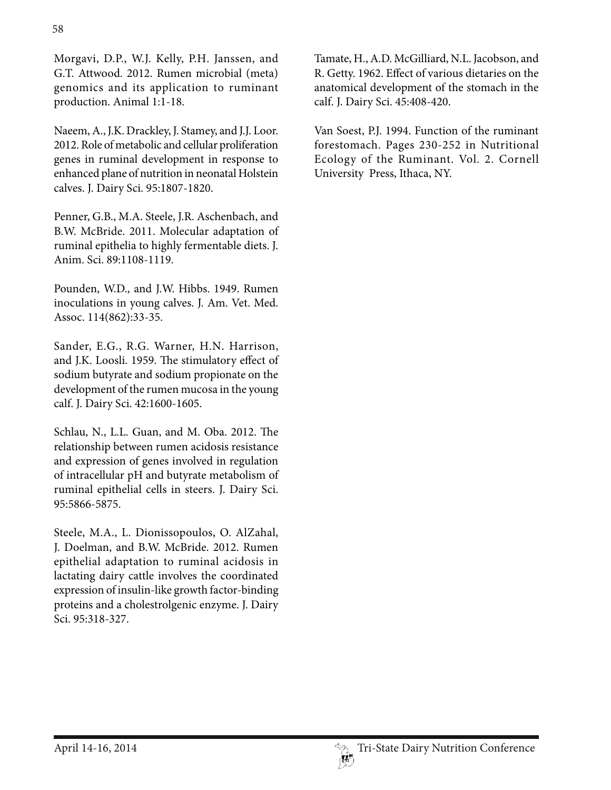Morgavi, D.P., W.J. Kelly, P.H. Janssen, and G.T. Attwood. 2012. Rumen microbial (meta) genomics and its application to ruminant production. Animal 1:1-18.

Naeem, A., J.K. Drackley, J. Stamey, and J.J. Loor. 2012. Role of metabolic and cellular proliferation genes in ruminal development in response to enhanced plane of nutrition in neonatal Holstein calves. J. Dairy Sci. 95:1807-1820.

Penner, G.B., M.A. Steele, J.R. Aschenbach, and B.W. McBride. 2011. Molecular adaptation of ruminal epithelia to highly fermentable diets. J. Anim. Sci. 89:1108-1119.

Pounden, W.D., and J.W. Hibbs. 1949. Rumen inoculations in young calves. J. Am. Vet. Med. Assoc. 114(862):33-35.

Sander, E.G., R.G. Warner, H.N. Harrison, and J.K. Loosli. 1959. The stimulatory effect of sodium butyrate and sodium propionate on the development of the rumen mucosa in the young calf. J. Dairy Sci. 42:1600-1605.

Schlau, N., L.L. Guan, and M. Oba. 2012. The relationship between rumen acidosis resistance and expression of genes involved in regulation of intracellular pH and butyrate metabolism of ruminal epithelial cells in steers. J. Dairy Sci. 95:5866-5875.

Steele, M.A., L. Dionissopoulos, O. AlZahal, J. Doelman, and B.W. McBride. 2012. Rumen epithelial adaptation to ruminal acidosis in lactating dairy cattle involves the coordinated expression of insulin-like growth factor-binding proteins and a cholestrolgenic enzyme. J. Dairy Sci. 95:318-327.

Tamate, H., A.D. McGilliard, N.L. Jacobson, and R. Getty. 1962. Effect of various dietaries on the anatomical development of the stomach in the calf. J. Dairy Sci. 45:408-420.

Van Soest, P.J. 1994. Function of the ruminant forestomach. Pages 230-252 in Nutritional Ecology of the Ruminant. Vol. 2. Cornell University Press, Ithaca, NY.